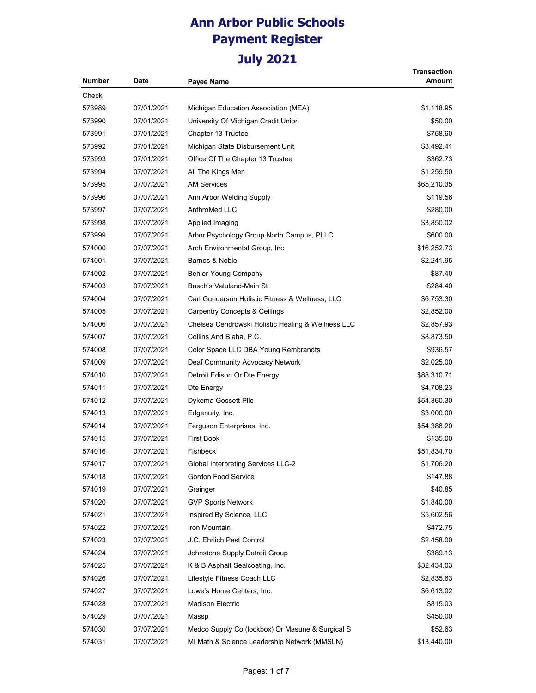| <b>Number</b> | <b>Date</b> | Payee Name                                         | <b>Transaction</b><br>Amount |
|---------------|-------------|----------------------------------------------------|------------------------------|
|               |             |                                                    |                              |
| <u>Check</u>  |             |                                                    |                              |
| 573989        | 07/01/2021  | Michigan Education Association (MEA)               | \$1,118.95                   |
| 573990        | 07/01/2021  | University Of Michigan Credit Union                | \$50.00                      |
| 573991        | 07/01/2021  | Chapter 13 Trustee                                 | \$758.60                     |
| 573992        | 07/01/2021  | Michigan State Disbursement Unit                   | \$3,492.41                   |
| 573993        | 07/01/2021  | Office Of The Chapter 13 Trustee                   | \$362.73                     |
| 573994        | 07/07/2021  | All The Kings Men                                  | \$1,259.50                   |
| 573995        | 07/07/2021  | <b>AM Services</b>                                 | \$65,210.35                  |
| 573996        | 07/07/2021  | Ann Arbor Welding Supply                           | \$119.56                     |
| 573997        | 07/07/2021  | AnthroMed LLC                                      | \$280.00                     |
| 573998        | 07/07/2021  | Applied Imaging                                    | \$3,850.02                   |
| 573999        | 07/07/2021  | Arbor Psychology Group North Campus, PLLC          | \$600.00                     |
| 574000        | 07/07/2021  | Arch Environmental Group, Inc                      | \$16,252.73                  |
| 574001        | 07/07/2021  | Barnes & Noble                                     | \$2,241.95                   |
| 574002        | 07/07/2021  | Behler-Young Company                               | \$87.40                      |
| 574003        | 07/07/2021  | Busch's Valuland-Main St                           | \$284.40                     |
| 574004        | 07/07/2021  | Carl Gunderson Holistic Fitness & Wellness, LLC    | \$6,753.30                   |
| 574005        | 07/07/2021  | <b>Carpentry Concepts &amp; Ceilings</b>           | \$2,852.00                   |
| 574006        | 07/07/2021  | Chelsea Cendrowski Holistic Healing & Wellness LLC | \$2,857.93                   |
| 574007        | 07/07/2021  | Collins And Blaha, P.C.                            | \$8,873.50                   |
| 574008        | 07/07/2021  | Color Space LLC DBA Young Rembrandts               | \$936.57                     |
| 574009        | 07/07/2021  | Deaf Community Advocacy Network                    | \$2,025.00                   |
| 574010        | 07/07/2021  | Detroit Edison Or Dte Energy                       | \$88,310.71                  |
| 574011        | 07/07/2021  | Dte Energy                                         | \$4,708.23                   |
| 574012        | 07/07/2021  | Dykema Gossett Pllc                                | \$54,360.30                  |
| 574013        | 07/07/2021  | Edgenuity, Inc.                                    | \$3,000.00                   |
| 574014        | 07/07/2021  | Ferguson Enterprises, Inc.                         | \$54,386.20                  |
| 574015        | 07/07/2021  | <b>First Book</b>                                  | \$135.00                     |
| 574016        | 07/07/2021  | <b>Fishbeck</b>                                    | \$51,834.70                  |
| 574017        | 07/07/2021  | Global Interpreting Services LLC-2                 | \$1,706.20                   |
| 574018        | 07/07/2021  | Gordon Food Service                                | \$147.88                     |
| 574019        | 07/07/2021  | Grainger                                           | \$40.85                      |
| 574020        | 07/07/2021  | <b>GVP Sports Network</b>                          | \$1,840.00                   |
| 574021        | 07/07/2021  | Inspired By Science, LLC                           | \$5,602.56                   |
| 574022        | 07/07/2021  | Iron Mountain                                      | \$472.75                     |
| 574023        | 07/07/2021  | J.C. Ehrlich Pest Control                          | \$2,458.00                   |
| 574024        | 07/07/2021  | Johnstone Supply Detroit Group                     | \$389.13                     |
| 574025        | 07/07/2021  | K & B Asphalt Sealcoating, Inc.                    | \$32,434.03                  |
| 574026        | 07/07/2021  | Lifestyle Fitness Coach LLC                        | \$2,835.63                   |
| 574027        | 07/07/2021  | Lowe's Home Centers, Inc.                          | \$6,613.02                   |
| 574028        | 07/07/2021  | <b>Madison Electric</b>                            | \$815.03                     |
| 574029        | 07/07/2021  | Massp                                              | \$450.00                     |
| 574030        | 07/07/2021  | Medco Supply Co (lockbox) Or Masune & Surgical S   | \$52.63                      |
| 574031        | 07/07/2021  | MI Math & Science Leadership Network (MMSLN)       | \$13,440.00                  |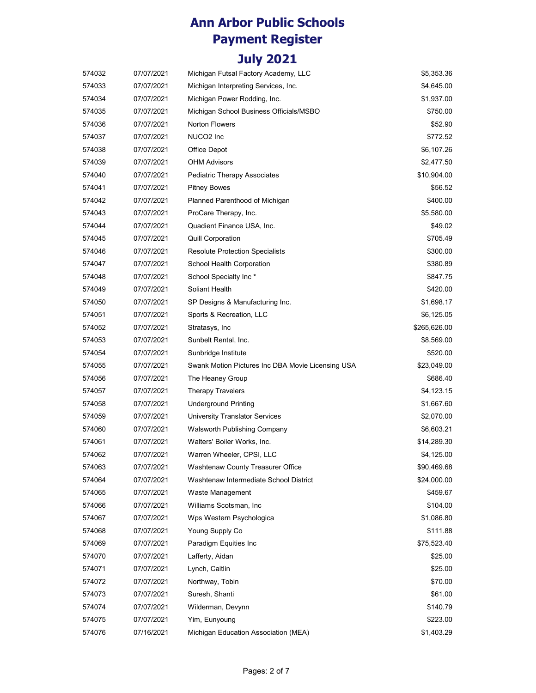| 574032 | 07/07/2021 | Michigan Futsal Factory Academy, LLC              | \$5,353.36   |
|--------|------------|---------------------------------------------------|--------------|
| 574033 | 07/07/2021 | Michigan Interpreting Services, Inc.              | \$4,645.00   |
| 574034 | 07/07/2021 | Michigan Power Rodding, Inc.                      | \$1,937.00   |
| 574035 | 07/07/2021 | Michigan School Business Officials/MSBO           | \$750.00     |
| 574036 | 07/07/2021 | Norton Flowers                                    | \$52.90      |
| 574037 | 07/07/2021 | NUCO <sub>2</sub> Inc                             | \$772.52     |
| 574038 | 07/07/2021 | Office Depot                                      | \$6,107.26   |
| 574039 | 07/07/2021 | <b>OHM Advisors</b>                               | \$2,477.50   |
| 574040 | 07/07/2021 | <b>Pediatric Therapy Associates</b>               | \$10,904.00  |
| 574041 | 07/07/2021 | <b>Pitney Bowes</b>                               | \$56.52      |
| 574042 | 07/07/2021 | Planned Parenthood of Michigan                    | \$400.00     |
| 574043 | 07/07/2021 | ProCare Therapy, Inc.                             | \$5,580.00   |
| 574044 | 07/07/2021 | Quadient Finance USA, Inc.                        | \$49.02      |
| 574045 | 07/07/2021 | <b>Quill Corporation</b>                          | \$705.49     |
| 574046 | 07/07/2021 | <b>Resolute Protection Specialists</b>            | \$300.00     |
| 574047 | 07/07/2021 | School Health Corporation                         | \$380.89     |
| 574048 | 07/07/2021 | School Specialty Inc*                             | \$847.75     |
| 574049 | 07/07/2021 | Soliant Health                                    | \$420.00     |
| 574050 | 07/07/2021 | SP Designs & Manufacturing Inc.                   | \$1,698.17   |
| 574051 | 07/07/2021 | Sports & Recreation, LLC                          | \$6,125.05   |
| 574052 | 07/07/2021 | Stratasys, Inc                                    | \$265,626.00 |
| 574053 | 07/07/2021 | Sunbelt Rental, Inc.                              | \$8,569.00   |
| 574054 | 07/07/2021 | Sunbridge Institute                               | \$520.00     |
| 574055 | 07/07/2021 | Swank Motion Pictures Inc DBA Movie Licensing USA | \$23,049.00  |
| 574056 | 07/07/2021 | The Heaney Group                                  | \$686.40     |
| 574057 | 07/07/2021 | <b>Therapy Travelers</b>                          | \$4,123.15   |
| 574058 | 07/07/2021 | <b>Underground Printing</b>                       | \$1,667.60   |
| 574059 | 07/07/2021 | <b>University Translator Services</b>             | \$2,070.00   |
| 574060 | 07/07/2021 | Walsworth Publishing Company                      | \$6,603.21   |
| 574061 | 07/07/2021 | Walters' Boiler Works, Inc.                       | \$14,289.30  |
| 574062 | 07/07/2021 | Warren Wheeler, CPSI, LLC                         | \$4,125.00   |
| 574063 | 07/07/2021 | Washtenaw County Treasurer Office                 | \$90,469.68  |
| 574064 | 07/07/2021 | Washtenaw Intermediate School District            | \$24,000.00  |
| 574065 | 07/07/2021 | Waste Management                                  | \$459.67     |
| 574066 | 07/07/2021 | Williams Scotsman, Inc.                           | \$104.00     |
| 574067 | 07/07/2021 | Wps Western Psychologica                          | \$1,086.80   |
| 574068 | 07/07/2021 | Young Supply Co                                   | \$111.88     |
| 574069 | 07/07/2021 | Paradigm Equities Inc                             | \$75,523.40  |
| 574070 | 07/07/2021 | Lafferty, Aidan                                   | \$25.00      |
| 574071 | 07/07/2021 | Lynch, Caitlin                                    | \$25.00      |
| 574072 | 07/07/2021 | Northway, Tobin                                   | \$70.00      |
| 574073 | 07/07/2021 | Suresh, Shanti                                    | \$61.00      |
| 574074 | 07/07/2021 | Wilderman, Devynn                                 | \$140.79     |
| 574075 | 07/07/2021 | Yim, Eunyoung                                     | \$223.00     |
| 574076 | 07/16/2021 | Michigan Education Association (MEA)              | \$1,403.29   |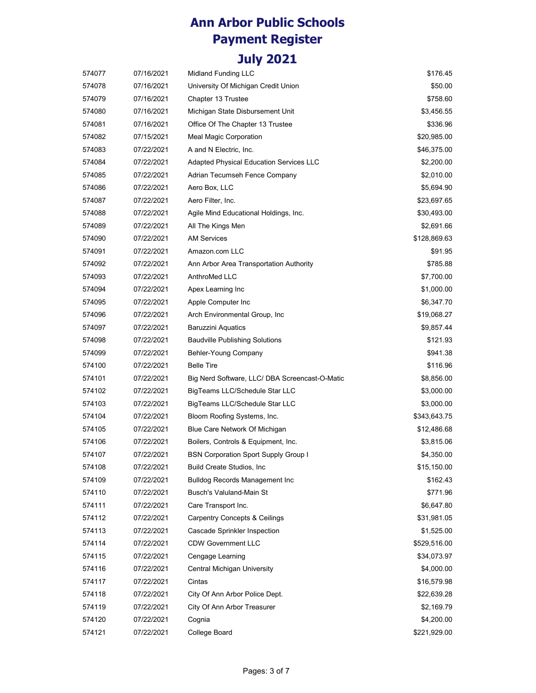| 574077 | 07/16/2021 | Midland Funding LLC                            | \$176.45     |
|--------|------------|------------------------------------------------|--------------|
| 574078 | 07/16/2021 | University Of Michigan Credit Union            | \$50.00      |
| 574079 | 07/16/2021 | Chapter 13 Trustee                             | \$758.60     |
| 574080 | 07/16/2021 | Michigan State Disbursement Unit               | \$3,456.55   |
| 574081 | 07/16/2021 | Office Of The Chapter 13 Trustee               | \$336.96     |
| 574082 | 07/15/2021 | Meal Magic Corporation                         | \$20,985.00  |
| 574083 | 07/22/2021 | A and N Electric, Inc.                         | \$46,375.00  |
| 574084 | 07/22/2021 | Adapted Physical Education Services LLC        | \$2,200.00   |
| 574085 | 07/22/2021 | Adrian Tecumseh Fence Company                  | \$2,010.00   |
| 574086 | 07/22/2021 | Aero Box, LLC                                  | \$5,694.90   |
| 574087 | 07/22/2021 | Aero Filter, Inc.                              | \$23,697.65  |
| 574088 | 07/22/2021 | Agile Mind Educational Holdings, Inc.          | \$30,493.00  |
| 574089 | 07/22/2021 | All The Kings Men                              | \$2,691.66   |
| 574090 | 07/22/2021 | <b>AM Services</b>                             | \$128,869.63 |
| 574091 | 07/22/2021 | Amazon.com LLC                                 | \$91.95      |
| 574092 | 07/22/2021 | Ann Arbor Area Transportation Authority        | \$785.88     |
| 574093 | 07/22/2021 | AnthroMed LLC                                  | \$7,700.00   |
| 574094 | 07/22/2021 | Apex Learning Inc                              | \$1,000.00   |
| 574095 | 07/22/2021 | Apple Computer Inc                             | \$6,347.70   |
| 574096 | 07/22/2021 | Arch Environmental Group, Inc.                 | \$19,068.27  |
| 574097 | 07/22/2021 | <b>Baruzzini Aquatics</b>                      | \$9,857.44   |
| 574098 | 07/22/2021 | <b>Baudville Publishing Solutions</b>          | \$121.93     |
| 574099 | 07/22/2021 | Behler-Young Company                           | \$941.38     |
| 574100 | 07/22/2021 | <b>Belle Tire</b>                              | \$116.96     |
| 574101 | 07/22/2021 | Big Nerd Software, LLC/ DBA Screencast-O-Matic | \$8,856.00   |
| 574102 | 07/22/2021 | BigTeams LLC/Schedule Star LLC                 | \$3,000.00   |
| 574103 | 07/22/2021 | BigTeams LLC/Schedule Star LLC                 | \$3,000.00   |
| 574104 | 07/22/2021 | Bloom Roofing Systems, Inc.                    | \$343,643.75 |
| 574105 | 07/22/2021 | Blue Care Network Of Michigan                  | \$12,486.68  |
| 574106 | 07/22/2021 | Boilers, Controls & Equipment, Inc.            | \$3,815.06   |
| 574107 | 07/22/2021 | <b>BSN Corporation Sport Supply Group I</b>    | \$4,350.00   |
| 574108 | 07/22/2021 | Build Create Studios, Inc.                     | \$15,150.00  |
| 574109 | 07/22/2021 | <b>Bulldog Records Management Inc</b>          | \$162.43     |
| 574110 | 07/22/2021 | <b>Busch's Valuland-Main St</b>                | \$771.96     |
| 574111 | 07/22/2021 | Care Transport Inc.                            | \$6,647.80   |
| 574112 | 07/22/2021 | <b>Carpentry Concepts &amp; Ceilings</b>       | \$31,981.05  |
| 574113 | 07/22/2021 | Cascade Sprinkler Inspection                   | \$1,525.00   |
| 574114 | 07/22/2021 | <b>CDW Government LLC</b>                      | \$529,516.00 |
| 574115 | 07/22/2021 | Cengage Learning                               | \$34,073.97  |
| 574116 | 07/22/2021 | Central Michigan University                    | \$4,000.00   |
| 574117 | 07/22/2021 | Cintas                                         | \$16,579.98  |
| 574118 | 07/22/2021 | City Of Ann Arbor Police Dept.                 | \$22,639.28  |
| 574119 | 07/22/2021 | City Of Ann Arbor Treasurer                    | \$2,169.79   |
| 574120 | 07/22/2021 | Cognia                                         | \$4,200.00   |
| 574121 | 07/22/2021 | College Board                                  | \$221,929.00 |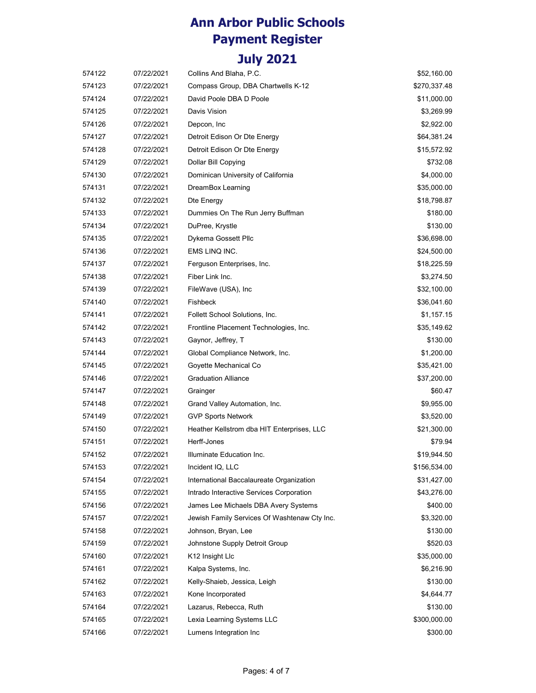| 574122 | 07/22/2021 | Collins And Blaha, P.C.                      | \$52,160.00  |
|--------|------------|----------------------------------------------|--------------|
| 574123 | 07/22/2021 | Compass Group, DBA Chartwells K-12           | \$270,337.48 |
| 574124 | 07/22/2021 | David Poole DBA D Poole                      | \$11,000.00  |
| 574125 | 07/22/2021 | Davis Vision                                 | \$3,269.99   |
| 574126 | 07/22/2021 | Depcon, Inc.                                 | \$2,922.00   |
| 574127 | 07/22/2021 | Detroit Edison Or Dte Energy                 | \$64,381.24  |
| 574128 | 07/22/2021 | Detroit Edison Or Dte Energy                 | \$15,572.92  |
| 574129 | 07/22/2021 | Dollar Bill Copying                          | \$732.08     |
| 574130 | 07/22/2021 | Dominican University of California           | \$4,000.00   |
| 574131 | 07/22/2021 | DreamBox Learning                            | \$35,000.00  |
| 574132 | 07/22/2021 | Dte Energy                                   | \$18,798.87  |
| 574133 | 07/22/2021 | Dummies On The Run Jerry Buffman             | \$180.00     |
| 574134 | 07/22/2021 | DuPree, Krystle                              | \$130.00     |
| 574135 | 07/22/2021 | Dykema Gossett Pllc                          | \$36,698.00  |
| 574136 | 07/22/2021 | EMS LINQ INC.                                | \$24,500.00  |
| 574137 | 07/22/2021 | Ferguson Enterprises, Inc.                   | \$18,225.59  |
| 574138 | 07/22/2021 | Fiber Link Inc.                              | \$3,274.50   |
| 574139 | 07/22/2021 | FileWave (USA), Inc.                         | \$32,100.00  |
| 574140 | 07/22/2021 | <b>Fishbeck</b>                              | \$36,041.60  |
| 574141 | 07/22/2021 | Follett School Solutions, Inc.               | \$1,157.15   |
| 574142 | 07/22/2021 | Frontline Placement Technologies, Inc.       | \$35,149.62  |
| 574143 | 07/22/2021 | Gaynor, Jeffrey, T                           | \$130.00     |
| 574144 | 07/22/2021 | Global Compliance Network, Inc.              | \$1,200.00   |
| 574145 | 07/22/2021 | Goyette Mechanical Co                        | \$35,421.00  |
| 574146 | 07/22/2021 | <b>Graduation Alliance</b>                   | \$37,200.00  |
| 574147 | 07/22/2021 | Grainger                                     | \$60.47      |
| 574148 | 07/22/2021 | Grand Valley Automation, Inc.                | \$9,955.00   |
| 574149 | 07/22/2021 | <b>GVP Sports Network</b>                    | \$3,520.00   |
| 574150 | 07/22/2021 | Heather Kellstrom dba HIT Enterprises, LLC   | \$21,300.00  |
| 574151 | 07/22/2021 | Herff-Jones                                  | \$79.94      |
| 574152 | 07/22/2021 | Illuminate Education Inc.                    | \$19,944.50  |
| 574153 | 07/22/2021 | Incident IQ, LLC                             | \$156,534.00 |
| 574154 | 07/22/2021 | International Baccalaureate Organization     | \$31,427.00  |
| 574155 | 07/22/2021 | Intrado Interactive Services Corporation     | \$43,276.00  |
| 574156 | 07/22/2021 | James Lee Michaels DBA Avery Systems         | \$400.00     |
| 574157 | 07/22/2021 | Jewish Family Services Of Washtenaw Cty Inc. | \$3,320.00   |
| 574158 | 07/22/2021 | Johnson, Bryan, Lee                          | \$130.00     |
| 574159 | 07/22/2021 | Johnstone Supply Detroit Group               | \$520.03     |
| 574160 | 07/22/2021 | K <sub>12</sub> Insight LIc                  | \$35,000.00  |
| 574161 | 07/22/2021 | Kalpa Systems, Inc.                          | \$6,216.90   |
| 574162 | 07/22/2021 | Kelly-Shaieb, Jessica, Leigh                 | \$130.00     |
| 574163 | 07/22/2021 | Kone Incorporated                            | \$4,644.77   |
| 574164 | 07/22/2021 | Lazarus, Rebecca, Ruth                       | \$130.00     |
| 574165 | 07/22/2021 | Lexia Learning Systems LLC                   | \$300,000.00 |
| 574166 | 07/22/2021 | Lumens Integration Inc                       | \$300.00     |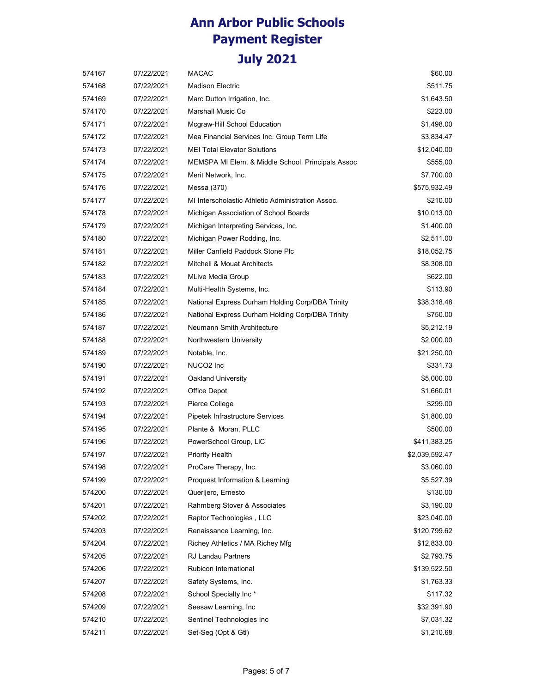| 574167 | 07/22/2021 | <b>MACAC</b>                                      | \$60.00        |
|--------|------------|---------------------------------------------------|----------------|
| 574168 | 07/22/2021 | <b>Madison Electric</b>                           | \$511.75       |
| 574169 | 07/22/2021 | Marc Dutton Irrigation, Inc.                      | \$1,643.50     |
| 574170 | 07/22/2021 | Marshall Music Co                                 | \$223.00       |
| 574171 | 07/22/2021 | Mcgraw-Hill School Education                      | \$1,498.00     |
| 574172 | 07/22/2021 | Mea Financial Services Inc. Group Term Life       | \$3,834.47     |
| 574173 | 07/22/2021 | <b>MEI Total Elevator Solutions</b>               | \$12,040.00    |
| 574174 | 07/22/2021 | MEMSPA MI Elem. & Middle School Principals Assoc  | \$555.00       |
| 574175 | 07/22/2021 | Merit Network, Inc.                               | \$7,700.00     |
| 574176 | 07/22/2021 | Messa (370)                                       | \$575,932.49   |
| 574177 | 07/22/2021 | MI Interscholastic Athletic Administration Assoc. | \$210.00       |
| 574178 | 07/22/2021 | Michigan Association of School Boards             | \$10,013.00    |
| 574179 | 07/22/2021 | Michigan Interpreting Services, Inc.              | \$1,400.00     |
| 574180 | 07/22/2021 | Michigan Power Rodding, Inc.                      | \$2,511.00     |
| 574181 | 07/22/2021 | Miller Canfield Paddock Stone Plc                 | \$18,052.75    |
| 574182 | 07/22/2021 | Mitchell & Mouat Architects                       | \$8,308.00     |
| 574183 | 07/22/2021 | MLive Media Group                                 | \$622.00       |
| 574184 | 07/22/2021 | Multi-Health Systems, Inc.                        | \$113.90       |
| 574185 | 07/22/2021 | National Express Durham Holding Corp/DBA Trinity  | \$38,318.48    |
| 574186 | 07/22/2021 | National Express Durham Holding Corp/DBA Trinity  | \$750.00       |
| 574187 | 07/22/2021 | Neumann Smith Architecture                        | \$5,212.19     |
| 574188 | 07/22/2021 | Northwestern University                           | \$2,000.00     |
| 574189 | 07/22/2021 | Notable, Inc.                                     | \$21,250.00    |
| 574190 | 07/22/2021 | NUCO <sub>2</sub> Inc                             | \$331.73       |
| 574191 | 07/22/2021 | Oakland University                                | \$5,000.00     |
| 574192 | 07/22/2021 | Office Depot                                      | \$1,660.01     |
| 574193 | 07/22/2021 | Pierce College                                    | \$299.00       |
| 574194 | 07/22/2021 | Pipetek Infrastructure Services                   | \$1,800.00     |
| 574195 | 07/22/2021 | Plante & Moran, PLLC                              | \$500.00       |
| 574196 | 07/22/2021 | PowerSchool Group, LIC                            | \$411,383.25   |
| 574197 | 07/22/2021 | <b>Priority Health</b>                            | \$2,039,592.47 |
| 574198 | 07/22/2021 | ProCare Therapy, Inc.                             | \$3,060.00     |
| 574199 | 07/22/2021 | Proquest Information & Learning                   | \$5,527.39     |
| 574200 | 07/22/2021 | Querijero, Ernesto                                | \$130.00       |
| 574201 | 07/22/2021 | Rahmberg Stover & Associates                      | \$3,190.00     |
| 574202 | 07/22/2021 | Raptor Technologies, LLC                          | \$23,040.00    |
| 574203 | 07/22/2021 | Renaissance Learning, Inc.                        | \$120,799.62   |
| 574204 | 07/22/2021 | Richey Athletics / MA Richey Mfg                  | \$12,833.00    |
| 574205 | 07/22/2021 | <b>RJ Landau Partners</b>                         | \$2,793.75     |
| 574206 | 07/22/2021 | Rubicon International                             | \$139,522.50   |
| 574207 | 07/22/2021 | Safety Systems, Inc.                              | \$1,763.33     |
| 574208 | 07/22/2021 | School Specialty Inc*                             | \$117.32       |
| 574209 | 07/22/2021 | Seesaw Learning, Inc                              | \$32,391.90    |
| 574210 | 07/22/2021 | Sentinel Technologies Inc                         | \$7,031.32     |
| 574211 | 07/22/2021 | Set-Seg (Opt & Gtl)                               | \$1,210.68     |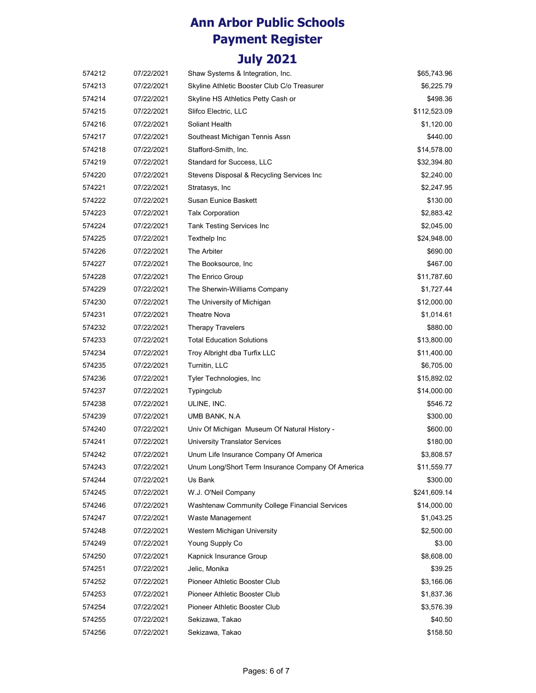| 574212 | 07/22/2021 | Shaw Systems & Integration, Inc.                  | \$65,743.96  |
|--------|------------|---------------------------------------------------|--------------|
| 574213 | 07/22/2021 | Skyline Athletic Booster Club C/o Treasurer       | \$6,225.79   |
| 574214 | 07/22/2021 | Skyline HS Athletics Petty Cash or                | \$498.36     |
| 574215 | 07/22/2021 | Slifco Electric, LLC                              | \$112,523.09 |
| 574216 | 07/22/2021 | Soliant Health                                    | \$1,120.00   |
| 574217 | 07/22/2021 | Southeast Michigan Tennis Assn                    | \$440.00     |
| 574218 | 07/22/2021 | Stafford-Smith, Inc.                              | \$14,578.00  |
| 574219 | 07/22/2021 | Standard for Success, LLC                         | \$32,394.80  |
| 574220 | 07/22/2021 | Stevens Disposal & Recycling Services Inc         | \$2,240.00   |
| 574221 | 07/22/2021 | Stratasys, Inc.                                   | \$2,247.95   |
| 574222 | 07/22/2021 | Susan Eunice Baskett                              | \$130.00     |
| 574223 | 07/22/2021 | <b>Talx Corporation</b>                           | \$2,883.42   |
| 574224 | 07/22/2021 | Tank Testing Services Inc                         | \$2,045.00   |
| 574225 | 07/22/2021 | Texthelp Inc                                      | \$24,948.00  |
| 574226 | 07/22/2021 | The Arbiter                                       | \$690.00     |
| 574227 | 07/22/2021 | The Booksource, Inc.                              | \$467.00     |
| 574228 | 07/22/2021 | The Enrico Group                                  | \$11,787.60  |
| 574229 | 07/22/2021 | The Sherwin-Williams Company                      | \$1,727.44   |
| 574230 | 07/22/2021 | The University of Michigan                        | \$12,000.00  |
| 574231 | 07/22/2021 | <b>Theatre Nova</b>                               | \$1,014.61   |
| 574232 | 07/22/2021 | <b>Therapy Travelers</b>                          | \$880.00     |
| 574233 | 07/22/2021 | <b>Total Education Solutions</b>                  | \$13,800.00  |
| 574234 | 07/22/2021 | Troy Albright dba Turfix LLC                      | \$11,400.00  |
| 574235 | 07/22/2021 | Turnitin, LLC                                     | \$6,705.00   |
| 574236 | 07/22/2021 | Tyler Technologies, Inc.                          | \$15,892.02  |
| 574237 | 07/22/2021 | Typingclub                                        | \$14,000.00  |
| 574238 | 07/22/2021 | ULINE, INC.                                       | \$546.72     |
| 574239 | 07/22/2021 | UMB BANK, N.A.                                    | \$300.00     |
| 574240 | 07/22/2021 | Univ Of Michigan Museum Of Natural History -      | \$600.00     |
| 574241 | 07/22/2021 | University Translator Services                    | \$180.00     |
| 574242 | 07/22/2021 | Unum Life Insurance Company Of America            | \$3,808.57   |
| 574243 | 07/22/2021 | Unum Long/Short Term Insurance Company Of America | \$11,559.77  |
| 574244 | 07/22/2021 | Us Bank                                           | \$300.00     |
| 574245 | 07/22/2021 | W.J. O'Neil Company                               | \$241,609.14 |
| 574246 | 07/22/2021 | Washtenaw Community College Financial Services    | \$14,000.00  |
| 574247 | 07/22/2021 | Waste Management                                  | \$1,043.25   |
| 574248 | 07/22/2021 | Western Michigan University                       | \$2,500.00   |
| 574249 | 07/22/2021 | Young Supply Co                                   | \$3.00       |
| 574250 | 07/22/2021 | Kapnick Insurance Group                           | \$8,608.00   |
| 574251 | 07/22/2021 | Jelic, Monika                                     | \$39.25      |
| 574252 | 07/22/2021 | Pioneer Athletic Booster Club                     | \$3,166.06   |
| 574253 | 07/22/2021 | Pioneer Athletic Booster Club                     | \$1,837.36   |
| 574254 | 07/22/2021 | Pioneer Athletic Booster Club                     | \$3,576.39   |
| 574255 | 07/22/2021 | Sekizawa, Takao                                   | \$40.50      |
| 574256 | 07/22/2021 | Sekizawa, Takao                                   | \$158.50     |